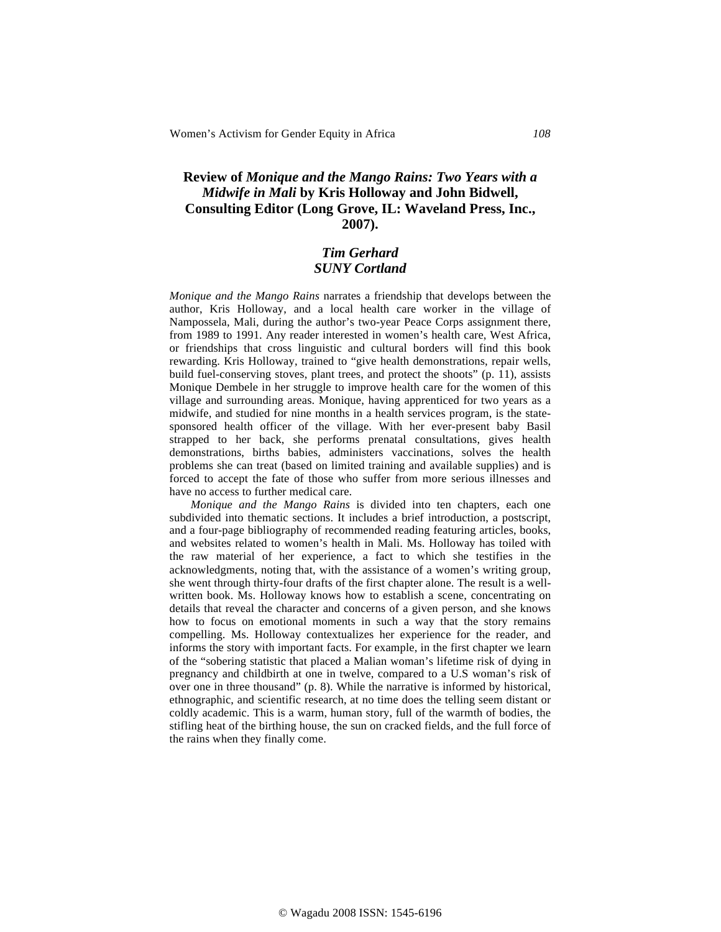## **Review of** *Monique and the Mango Rains: Two Years with a Midwife in Mali* **by Kris Holloway and John Bidwell, Consulting Editor (Long Grove, IL: Waveland Press, Inc., 2007).**

## *Tim Gerhard SUNY Cortland*

*Monique and the Mango Rains* narrates a friendship that develops between the author, Kris Holloway, and a local health care worker in the village of Nampossela, Mali, during the author's two-year Peace Corps assignment there, from 1989 to 1991. Any reader interested in women's health care, West Africa, or friendships that cross linguistic and cultural borders will find this book rewarding. Kris Holloway, trained to "give health demonstrations, repair wells, build fuel-conserving stoves, plant trees, and protect the shoots" (p. 11), assists Monique Dembele in her struggle to improve health care for the women of this village and surrounding areas. Monique, having apprenticed for two years as a midwife, and studied for nine months in a health services program, is the statesponsored health officer of the village. With her ever-present baby Basil strapped to her back, she performs prenatal consultations, gives health demonstrations, births babies, administers vaccinations, solves the health problems she can treat (based on limited training and available supplies) and is forced to accept the fate of those who suffer from more serious illnesses and have no access to further medical care.

*Monique and the Mango Rains* is divided into ten chapters, each one subdivided into thematic sections. It includes a brief introduction, a postscript, and a four-page bibliography of recommended reading featuring articles, books, and websites related to women's health in Mali. Ms. Holloway has toiled with the raw material of her experience, a fact to which she testifies in the acknowledgments, noting that, with the assistance of a women's writing group, she went through thirty-four drafts of the first chapter alone. The result is a wellwritten book. Ms. Holloway knows how to establish a scene, concentrating on details that reveal the character and concerns of a given person, and she knows how to focus on emotional moments in such a way that the story remains compelling. Ms. Holloway contextualizes her experience for the reader, and informs the story with important facts. For example, in the first chapter we learn of the "sobering statistic that placed a Malian woman's lifetime risk of dying in pregnancy and childbirth at one in twelve, compared to a U.S woman's risk of over one in three thousand" (p. 8). While the narrative is informed by historical, ethnographic, and scientific research, at no time does the telling seem distant or coldly academic. This is a warm, human story, full of the warmth of bodies, the stifling heat of the birthing house, the sun on cracked fields, and the full force of the rains when they finally come.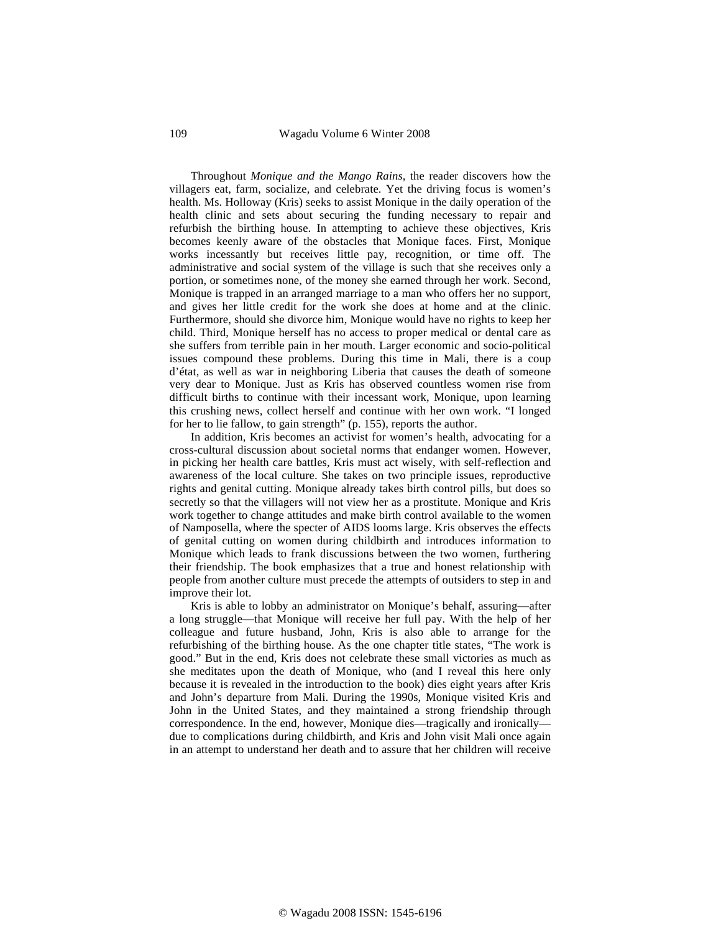109 Wagadu Volume 6 Winter 2008

Throughout *Monique and the Mango Rains*, the reader discovers how the villagers eat, farm, socialize, and celebrate. Yet the driving focus is women's health. Ms. Holloway (Kris) seeks to assist Monique in the daily operation of the health clinic and sets about securing the funding necessary to repair and refurbish the birthing house. In attempting to achieve these objectives, Kris becomes keenly aware of the obstacles that Monique faces. First, Monique works incessantly but receives little pay, recognition, or time off. The administrative and social system of the village is such that she receives only a portion, or sometimes none, of the money she earned through her work. Second, Monique is trapped in an arranged marriage to a man who offers her no support, and gives her little credit for the work she does at home and at the clinic. Furthermore, should she divorce him, Monique would have no rights to keep her child. Third, Monique herself has no access to proper medical or dental care as she suffers from terrible pain in her mouth. Larger economic and socio-political issues compound these problems. During this time in Mali, there is a coup d'état, as well as war in neighboring Liberia that causes the death of someone very dear to Monique. Just as Kris has observed countless women rise from difficult births to continue with their incessant work, Monique, upon learning this crushing news, collect herself and continue with her own work. "I longed for her to lie fallow, to gain strength" (p. 155), reports the author.

In addition, Kris becomes an activist for women's health, advocating for a cross-cultural discussion about societal norms that endanger women. However, in picking her health care battles, Kris must act wisely, with self-reflection and awareness of the local culture. She takes on two principle issues, reproductive rights and genital cutting. Monique already takes birth control pills, but does so secretly so that the villagers will not view her as a prostitute. Monique and Kris work together to change attitudes and make birth control available to the women of Namposella, where the specter of AIDS looms large. Kris observes the effects of genital cutting on women during childbirth and introduces information to Monique which leads to frank discussions between the two women, furthering their friendship. The book emphasizes that a true and honest relationship with people from another culture must precede the attempts of outsiders to step in and improve their lot.

Kris is able to lobby an administrator on Monique's behalf, assuring—after a long struggle—that Monique will receive her full pay. With the help of her colleague and future husband, John, Kris is also able to arrange for the refurbishing of the birthing house. As the one chapter title states, "The work is good." But in the end, Kris does not celebrate these small victories as much as she meditates upon the death of Monique, who (and I reveal this here only because it is revealed in the introduction to the book) dies eight years after Kris and John's departure from Mali. During the 1990s, Monique visited Kris and John in the United States, and they maintained a strong friendship through correspondence. In the end, however, Monique dies—tragically and ironically due to complications during childbirth, and Kris and John visit Mali once again in an attempt to understand her death and to assure that her children will receive